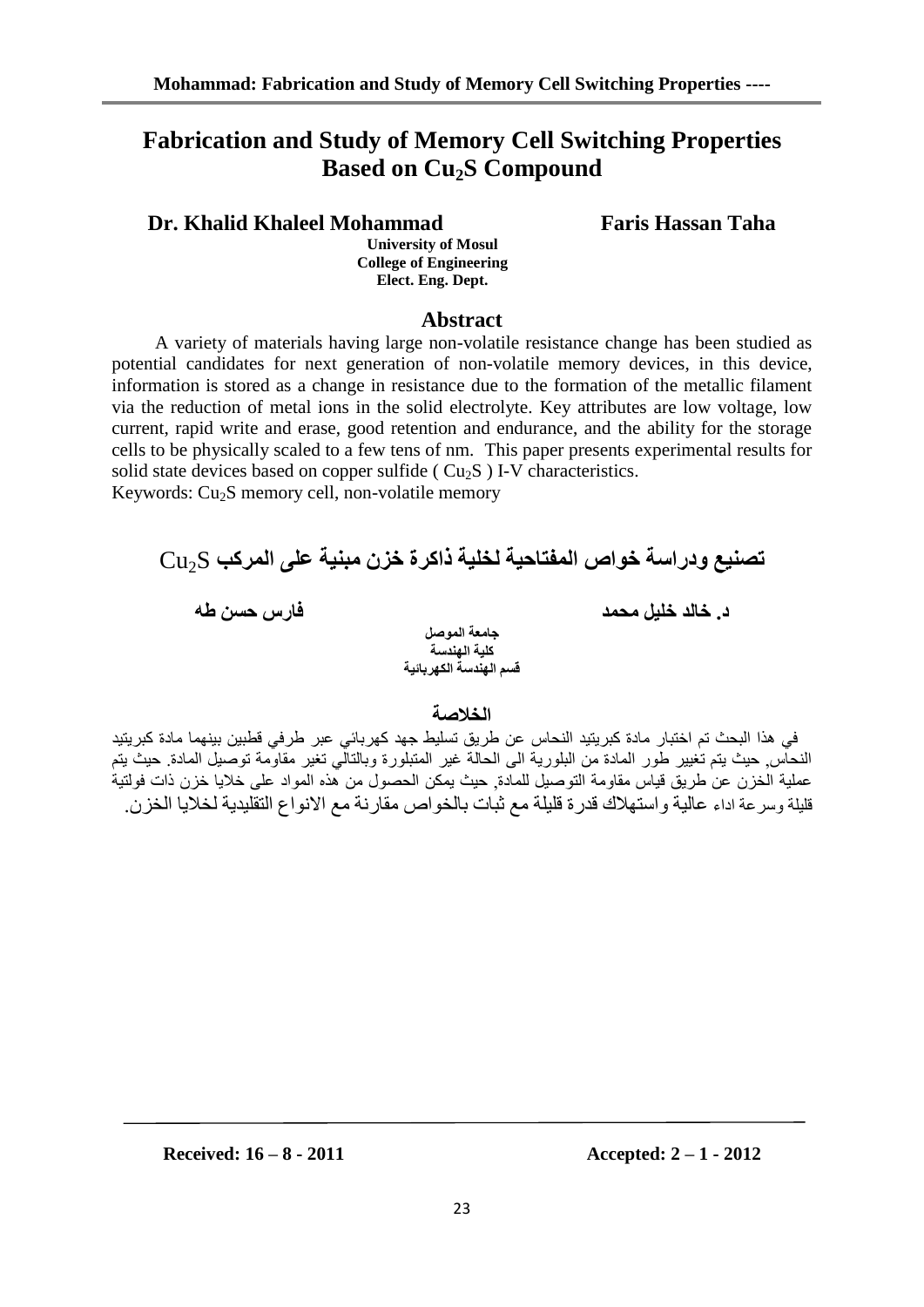# **Fabrication and Study of Memory Cell Switching Properties Based on Cu2S Compound**

# **Dr. Khalid Khaleel Mohammad Faris Hassan Taha**

**University of Mosul College of Engineering Elect. Eng. Dept.**

# **Abstract**

 A variety of materials having large non-volatile resistance change has been studied as potential candidates for next generation of non-volatile memory devices, in this device, information is stored as a change in resistance due to the formation of the metallic filament via the reduction of metal ions in the solid electrolyte. Key attributes are low voltage, low current, rapid write and erase, good retention and endurance, and the ability for the storage cells to be physically scaled to a few tens of nm. This paper presents experimental results for solid state devices based on copper sulfide ( $Cu<sub>2</sub>S$ ) I-V characteristics.

Keywords:  $Cu<sub>2</sub>S$  memory cell, non-volatile memory



# **الخالصت**

في هذا البحث تم اختبار مادة كبر يتبد النحاس عن طريق تسليط جهد كهر بائي عبر طر في قطبين بينهما مادة كبر يتبد النحاس حيث يتم تغيير طور المادة من البلورية الى الحالة غير المتبلورة وبالتالي تغير مقاومة توصيل المادة. حيث يتم عملية الخزن عن طريق قياس مقاومة التوصيل للمادة, حيث يمكن الحصول من هذه المواد على خلايا خزن ذات فولتية قليلة وسرعة اداء عالية واستهلاك قدرة قليلة مع ثبات بالخواص مقارنة مع الانواع التقليدية لخلايا الخزن.

**Received: 16 – 8 - 2011 Accepted: 2 – 1 - 2012**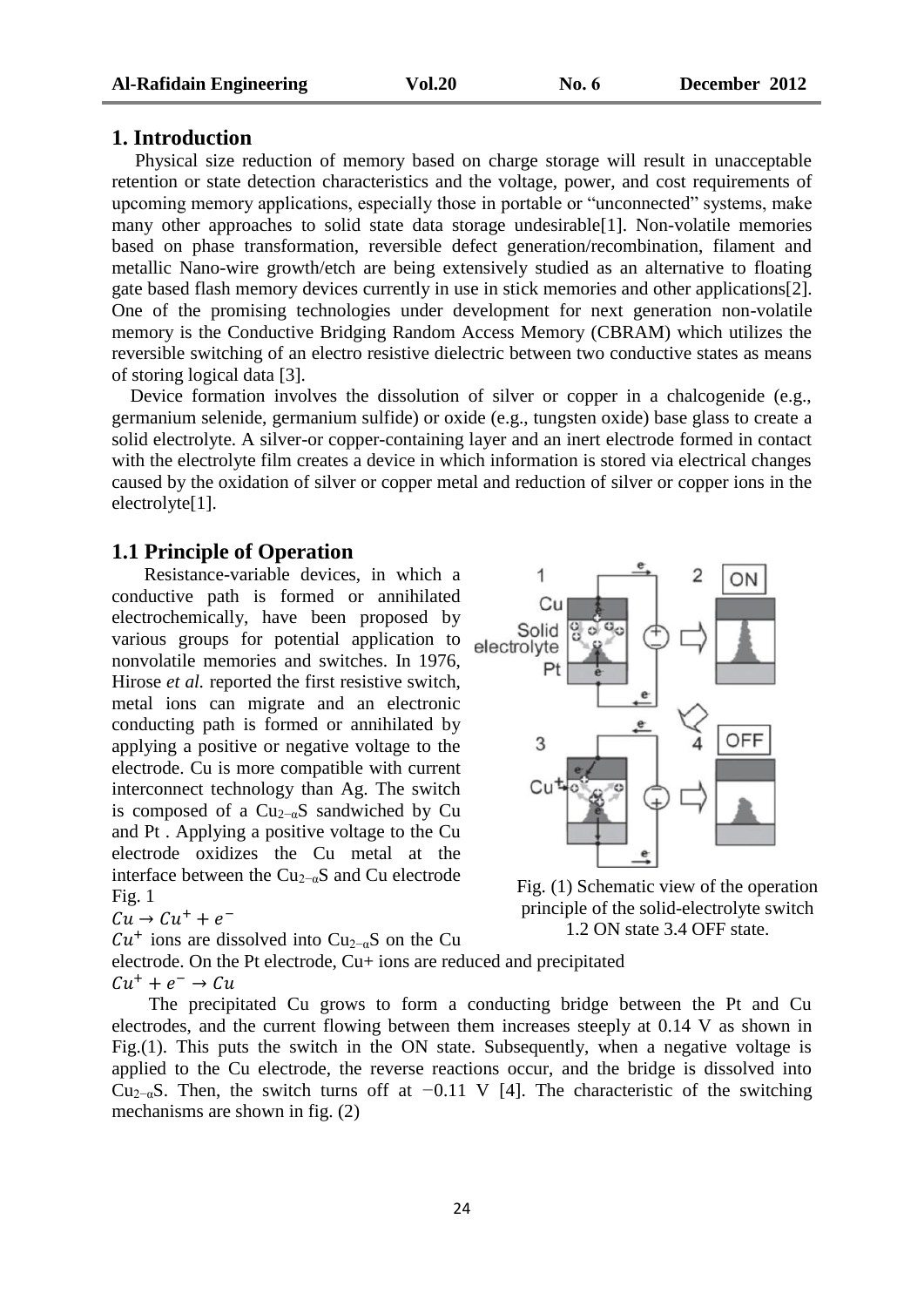#### **1. Introduction**

 Physical size reduction of memory based on charge storage will result in unacceptable retention or state detection characteristics and the voltage, power, and cost requirements of upcoming memory applications, especially those in portable or "unconnected" systems, make many other approaches to solid state data storage undesirable[1]. Non-volatile memories based on phase transformation, reversible defect generation/recombination, filament and metallic Nano-wire growth/etch are being extensively studied as an alternative to floating gate based flash memory devices currently in use in stick memories and other applications[2]. One of the promising technologies under development for next generation non-volatile memory is the Conductive Bridging Random Access Memory (CBRAM) which utilizes the reversible switching of an electro resistive dielectric between two conductive states as means of storing logical data [3].

 Device formation involves the dissolution of silver or copper in a chalcogenide (e.g., germanium selenide, germanium sulfide) or oxide (e.g., tungsten oxide) base glass to create a solid electrolyte. A silver-or copper-containing layer and an inert electrode formed in contact with the electrolyte film creates a device in which information is stored via electrical changes caused by the oxidation of silver or copper metal and reduction of silver or copper ions in the electrolyte<sup>[1]</sup>.

#### **1.1 Principle of Operation**

 Resistance-variable devices, in which a conductive path is formed or annihilated electrochemically, have been proposed by various groups for potential application to nonvolatile memories and switches. In 1976, Hirose *et al.* reported the first resistive switch, metal ions can migrate and an electronic conducting path is formed or annihilated by applying a positive or negative voltage to the electrode. Cu is more compatible with current interconnect technology than Ag. The switch is composed of a  $Cu_{2-\alpha}S$  sandwiched by Cu and Pt . Applying a positive voltage to the Cu electrode oxidizes the Cu metal at the interface between the  $Cu_{2-\alpha}S$  and Cu electrode  $Fig. 1$ 

Fig. 1  

$$
Cu \rightarrow Cu^{+} + e^{-}
$$

 $Cu<sup>+</sup>$  ions are dissolved into Cu<sub>2−α</sub>S on the Cu



Fig. (1) Schematic view of the operation principle of the solid-electrolyte switch 1,2 ON state 3,4 OFF state.

electrode. On the Pt electrode, Cu+ ions are reduced and precipitated  $Cu^{+} + e^{-}$ 

 The precipitated Cu grows to form a conducting bridge between the Pt and Cu electrodes, and the current flowing between them increases steeply at 0.14 V as shown in Fig.(1). This puts the switch in the ON state. Subsequently, when a negative voltage is applied to the Cu electrode, the reverse reactions occur, and the bridge is dissolved into Cu2−αS. Then, the switch turns off at *−*0.11 V [4]. The characteristic of the switching mechanisms are shown in fig. (2)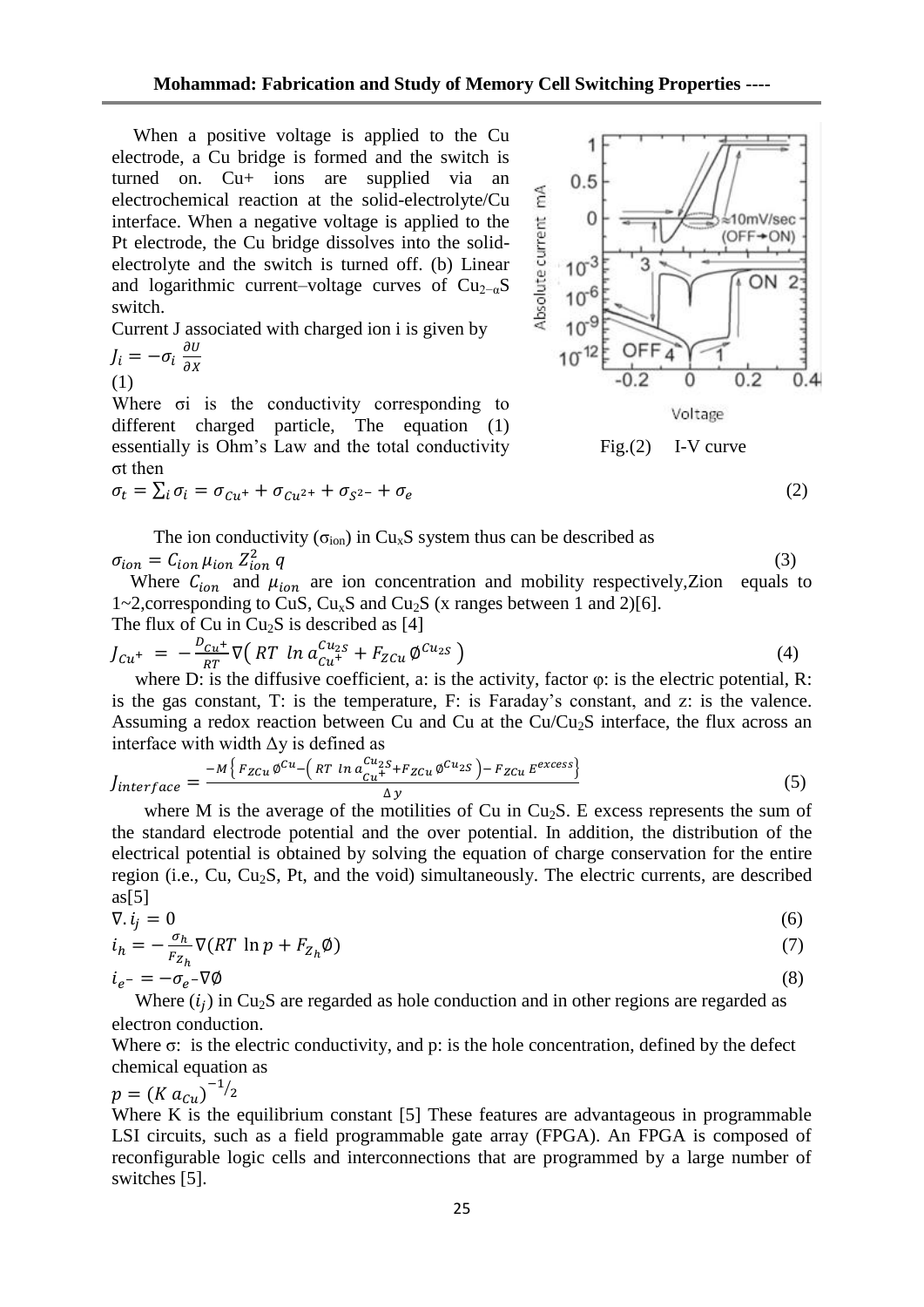When a positive voltage is applied to the Cu electrode, a Cu bridge is formed and the switch is turned on. Cu+ ions are supplied via an electrochemical reaction at the solid-electrolyte/Cu interface. When a negative voltage is applied to the Pt electrode, the Cu bridge dissolves into the solidelectrolyte and the switch is turned off. (b) Linear and logarithmic current–voltage curves of  $Cu_{2-\alpha}S$ switch.

Current J associated with charged ion i is given by

$$
J_i = -\sigma_i \frac{\partial U}{\partial x}
$$
  
(1)

Where σi is the conductivity corresponding to different charged particle, The equation (1) essentially is Ohm's Law and the total conductivity σt then

$$
\sigma_t = \sum_i \sigma_i = \sigma_{Cu^+} + \sigma_{Cu^{2+}} + \sigma_{S^{2-}} + \sigma_{\epsilon}
$$

The ion conductivity ( $\sigma_{ion}$ ) in Cu<sub>x</sub>S system thus can be described as  $\sigma_{ion} = C_{ion} \mu_{ion} Z_{ion}^2 q$  $\frac{2}{\sin q}$  (3)

Where  $C_{ion}$  and  $\mu_{ion}$  are ion concentration and mobility respectively, Zion equals to 1~2, corresponding to CuS,  $Cu<sub>x</sub>S$  and Cu<sub>2</sub>S (x ranges between 1 and 2)[6]. The flux of  $Cu$  in  $Cu<sub>2</sub>S$  is described as [4]

$$
J_{Cu^{+}} = -\frac{D_{Cu^{+}}}{RT} \nabla \left( RT \ln a_{Cu^{+}}^{Cu_{2S}} + F_{ZCu} \varphi^{Cu_{2S}} \right)
$$
\n(4)

where D: is the diffusive coefficient, a: is the activity, factor  $\varphi$ : is the electric potential, R: is the gas constant, T: is the temperature, F: is Faraday's constant, and z: is the valence. Assuming a redox reaction between Cu and Cu at the  $Cu/Cu<sub>2</sub>S$  interface, the flux across an interface with width  $\Delta y$  is defined as

$$
J_{interface} = \frac{-M \{ F_{ZCu} \phi^{Cu} - \left( RT \ln a_{Cu}^{Cu_{2S}} + F_{ZCu} \phi^{Cu_{2S}} \right) - F_{ZCu} E^{excess} \}}{\Delta y}
$$
(5)

where M is the average of the motilities of Cu in  $Cu<sub>2</sub>S$ . E excess represents the sum of the standard electrode potential and the over potential. In addition, the distribution of the electrical potential is obtained by solving the equation of charge conservation for the entire region (i.e., Cu, Cu<sub>2</sub>S, Pt, and the void) simultaneously. The electric currents, are described  $as[5]$ 

$$
\nabla. i_j = 0
$$
\n
$$
i_h = -\frac{\sigma_h}{r} \nabla (RT \ln p + F_{Z_h} \phi)
$$
\n(6)

$$
i_h = -\frac{1}{F_{Z_h}} \mathbf{v}(\mathbf{A} \mathbf{I} \mathbf{I} \mathbf{I} \mathbf{I} \mathbf{P} + \mathbf{I}_{Z_h} \mathbf{V})
$$
  
\n
$$
i_{e^-} = -\sigma_{e^-} \nabla \emptyset
$$
\n(8)

Where  $(i_j)$  in Cu<sub>2</sub>S are regarded as hole conduction and in other regions are regarded as electron conduction.

Where σ: is the electric conductivity, and p: is the hole concentration, defined by the defect chemical equation as

 $p = (K a_{Cu})^{-1/2}$ 

Where K is the equilibrium constant [5] These features are advantageous in programmable LSI circuits, such as a field programmable gate array (FPGA). An FPGA is composed of reconfigurable logic cells and interconnections that are programmed by a large number of switches [5].

25



(2)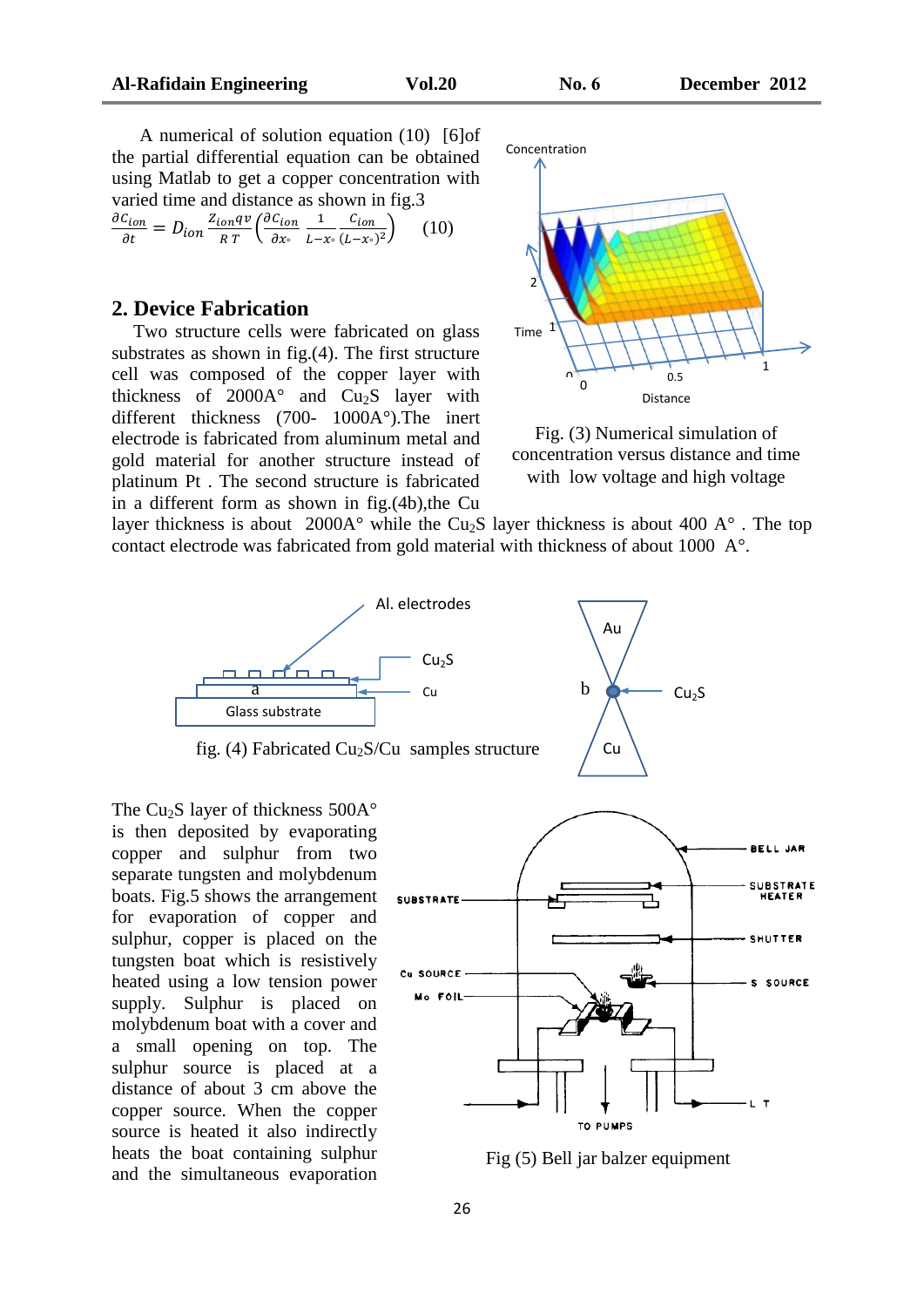A numerical of solution equation (10) [6]of the partial differential equation can be obtained using Matlab to get a copper concentration with varied time and distance as shown in fig.3

$$
\frac{\partial C_{ion}}{\partial t} = D_{ion} \frac{Z_{ion}qv}{RT} \left( \frac{\partial C_{ion}}{\partial x^{\circ}} \frac{1}{L - x^{\circ}} \frac{C_{ion}}{(L - x^{\circ})^2} \right) \tag{10}
$$

#### **2. Device Fabrication**

 Two structure cells were fabricated on glass substrates as shown in fig.(4). The first structure cell was composed of the copper layer with thickness of  $2000A^{\circ}$  and  $Cu_{2}S$  layer with different thickness (700- 1000A°).The inert electrode is fabricated from aluminum metal and gold material for another structure instead of platinum Pt . The second structure is fabricated in a different form as shown in fig.(4b),the Cu



Fig. (3) Numerical simulation of concentration versus distance and time with low voltage and high voltage

layer thickness is about 2000 $A^{\circ}$  while the Cu<sub>2</sub>S layer thickness is about 400  $A^{\circ}$ . The top contact electrode was fabricated from gold material with thickness of about 1000 A°.





fig. (4) Fabricated  $Cu<sub>2</sub>S/Cu$  samples structure

The Cu<sub>2</sub>S layer of thickness  $500A^{\circ}$ is then deposited by evaporating copper and sulphur from two separate tungsten and molybdenum boats. Fig.5 shows the arrangement for evaporation of copper and sulphur, copper is placed on the tungsten boat which is resistively heated using a low tension power supply. Sulphur is placed on molybdenum boat with a cover and a small opening on top. The sulphur source is placed at a distance of about 3 cm above the copper source. When the copper source is heated it also indirectly heats the boat containing sulphur and the simultaneous evaporation



Fig (5) Bell jar balzer equipment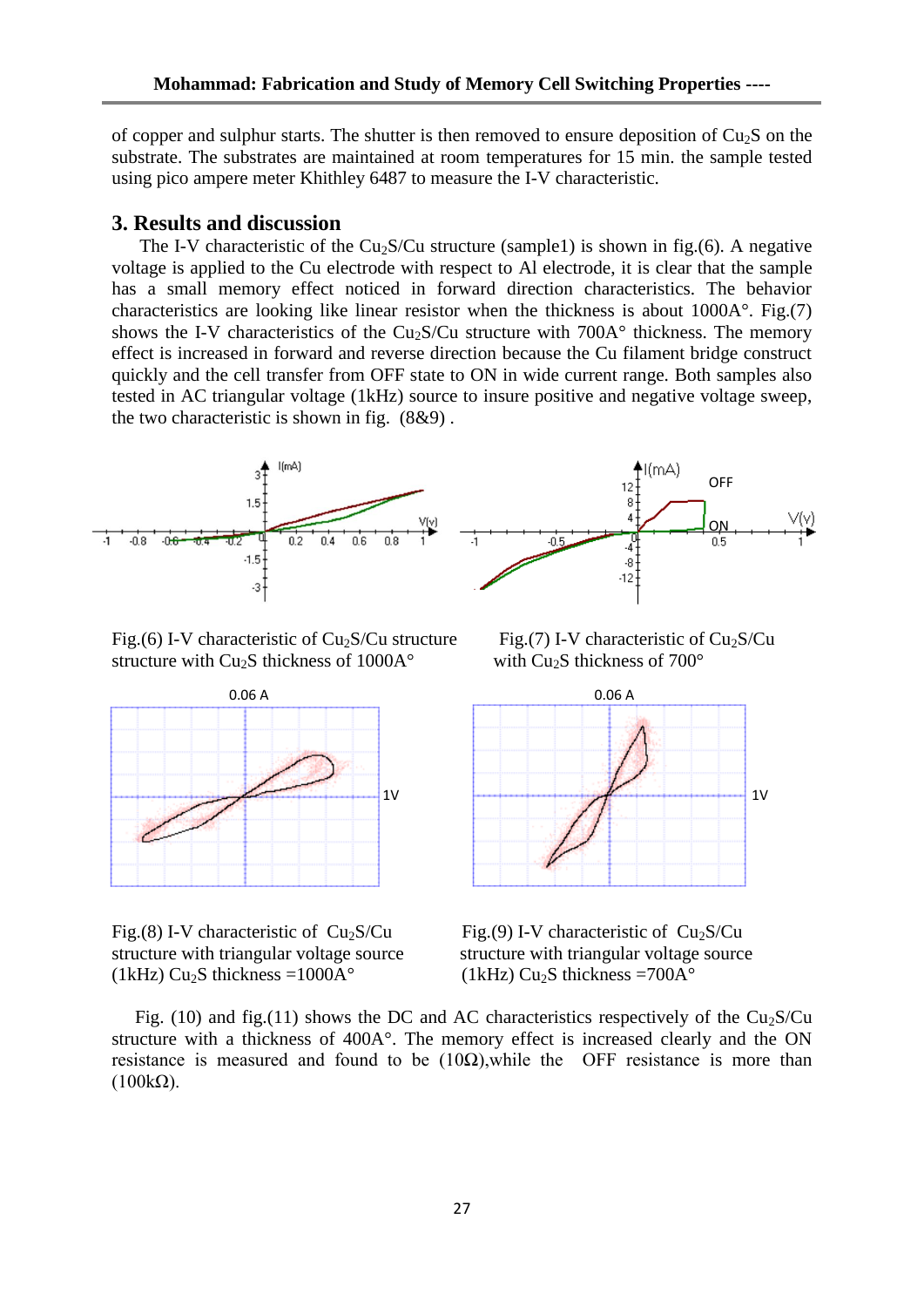of copper and sulphur starts. The shutter is then removed to ensure deposition of  $Cu<sub>2</sub>S$  on the substrate. The substrates are maintained at room temperatures for 15 min. the sample tested using pico ampere meter Khithley 6487 to measure the I-V characteristic.

#### **3. Results and discussion**

The I-V characteristic of the  $Cu<sub>2</sub>S/Cu$  structure (sample1) is shown in fig.(6). A negative voltage is applied to the Cu electrode with respect to Al electrode, it is clear that the sample has a small memory effect noticed in forward direction characteristics. The behavior characteristics are looking like linear resistor when the thickness is about 1000A°. Fig.(7) shows the I-V characteristics of the Cu<sub>2</sub>S/Cu structure with  $700A<sup>o</sup>$  thickness. The memory effect is increased in forward and reverse direction because the Cu filament bridge construct quickly and the cell transfer from OFF state to ON in wide current range. Both samples also tested in AC triangular voltage (1kHz) source to insure positive and negative voltage sweep, the two characteristic is shown in fig. (8&9) .



Fig.(6) I-V characteristic of  $Cu<sub>2</sub>S/Cu$  structure Fig.(7) I-V characteristic of  $Cu<sub>2</sub>S/Cu$ structure with  $Cu<sub>2</sub>S$  thickness of 1000A $^{\circ}$  with  $Cu<sub>2</sub>S$  thickness of 700 $^{\circ}$ 





Fig.(8) I-V characteristic of  $Cu<sub>2</sub>S/Cu$  Fig.(9) I-V characteristic of  $Cu<sub>2</sub>S/Cu$ structure with triangular voltage source structure with triangular voltage source (1kHz)  $Cu<sub>2</sub>S$  thickness =1000A° (1kHz)  $Cu<sub>2</sub>S$  thickness =700A°

Fig. (10) and fig.(11) shows the DC and AC characteristics respectively of the  $Cu<sub>2</sub>S/Cu$ structure with a thickness of 400A°. The memory effect is increased clearly and the ON resistance is measured and found to be  $(10\Omega)$ , while the OFF resistance is more than  $(100k\Omega)$ .